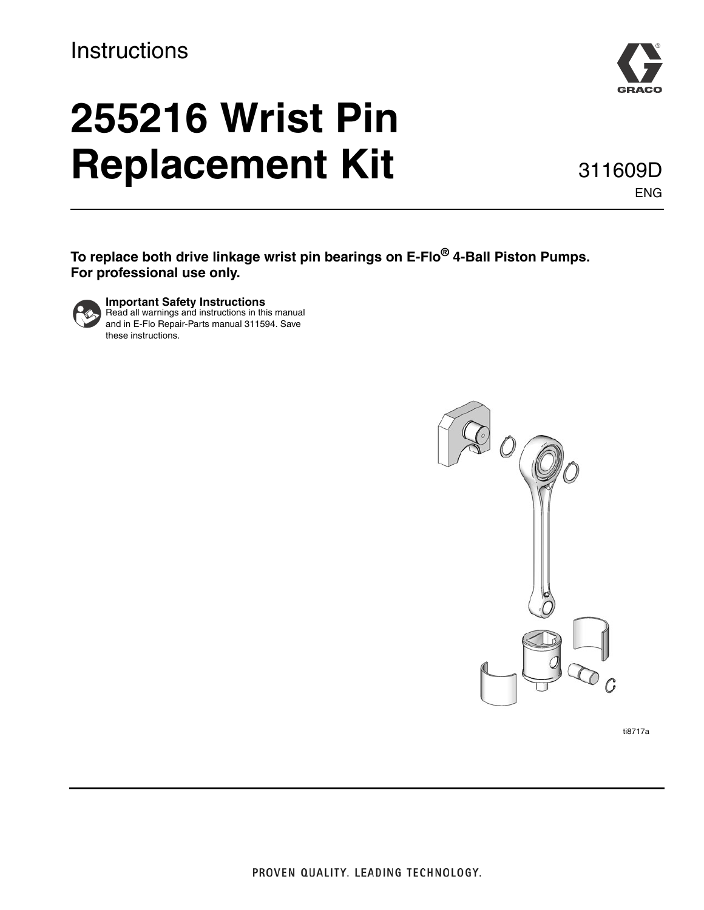# **Instructions**

# **255216 Wrist Pin Replacement Kit**

**To replace both drive linkage wrist pin bearings on E-Flo® 4-Ball Piston Pumps. For professional use only.**



**Important Safety Instructions** Read all warnings and instructions in this manual and in E-Flo Repair-Parts manual 311594. Save these instructions.







ENG

311609D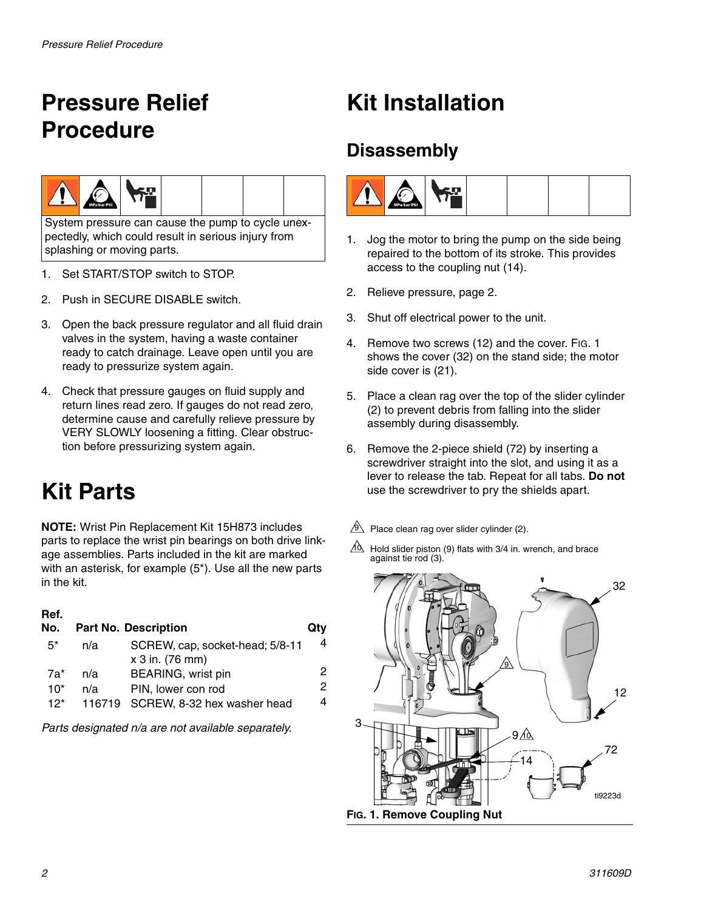# <span id="page-1-0"></span>**Pressure Relief Procedure**



System pressure can cause the pump to cycle unexpectedly, which could result in serious injury from splashing or moving parts.

- 1. Set START/STOP switch to STOP.
- 2. Push in SECURE DISABLE switch.
- 3. Open the back pressure regulator and all fluid drain valves in the system, having a waste container ready to catch drainage. Leave open until you are ready to pressurize system again.
- 4. Check that pressure gauges on fluid supply and return lines read zero. If gauges do not read zero, determine cause and carefully relieve pressure by VERY SLOWLY loosening a fitting. Clear obstruction before pressurizing system again.

# **Kit Parts**

**NOTE:** Wrist Pin Replacement Kit 15H873 includes parts to replace the wrist pin bearings on both drive linkage assemblies. Parts included in the kit are marked with an asterisk, for example (5\*). Use all the new parts in the kit.

## **Ref.**

| No.            |     | <b>Part No. Description</b>                              | Qtv    |
|----------------|-----|----------------------------------------------------------|--------|
| $5^*$          | n/a | SCREW, cap, socket-head; 5/8-11<br>x 3 in. (76 mm)       | 4      |
| 7a*            | n/a | BEARING, wrist pin                                       | 2      |
| $10*$<br>$12*$ | n/a | PIN, lower con rod<br>116719 SCREW, 8-32 hex washer head | 2<br>4 |

*Parts designated n/a are not available separately.*

# **Kit Installation**

## **Disassembly**



- 1. Jog the motor to bring the pump on the side being repaired to the bottom of its stroke. This provides access to the coupling nut (14).
- 2. Relieve pressure, page [2.](#page-1-0)
- 3. Shut off electrical power to the unit.
- 4. Remove two screws (12) and the cover. FIG. 1 shows the cover (32) on the stand side; the motor side cover is (21).
- 5. Place a clean rag over the top of the slider cylinder (2) to prevent debris from falling into the slider assembly during disassembly.
- 6. Remove the 2-piece shield (72) by inserting a screwdriver straight into the slot, and using it as a lever to release the tab. Repeat for all tabs. **Do not** use the screwdriver to pry the shields apart.
- $9$  Place clean rag over slider cylinder (2).
- $10$  Hold slider piston (9) flats with 3/4 in. wrench, and brace against tie rod (3).

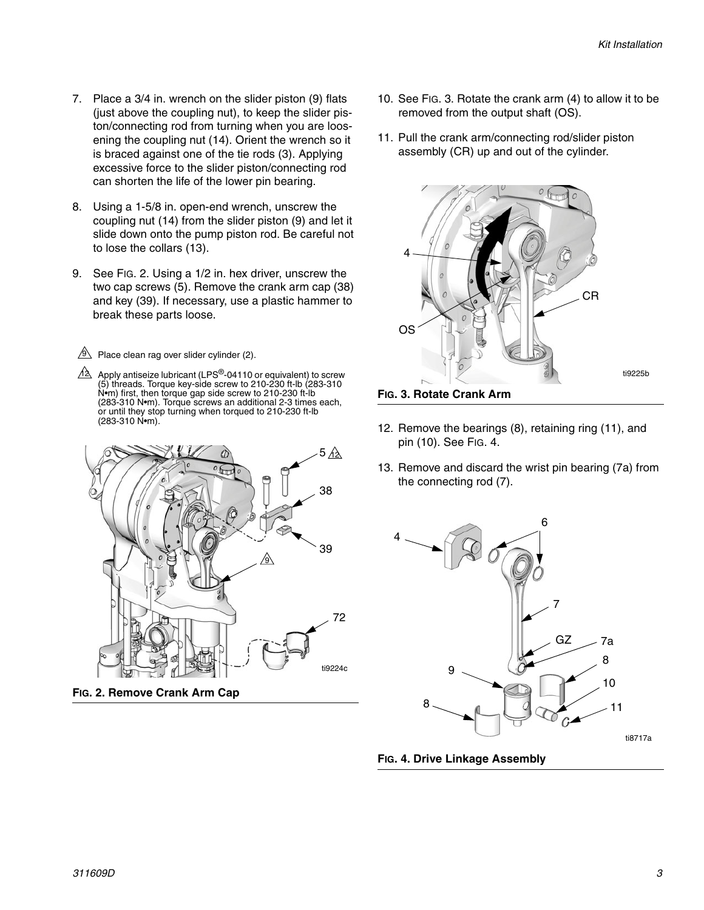- 7. Place a 3/4 in. wrench on the slider piston (9) flats (just above the coupling nut), to keep the slider piston/connecting rod from turning when you are loosening the coupling nut (14). Orient the wrench so it is braced against one of the tie rods (3). Applying excessive force to the slider piston/connecting rod can shorten the life of the lower pin bearing.
- 8. Using a 1-5/8 in. open-end wrench, unscrew the coupling nut (14) from the slider piston (9) and let it slide down onto the pump piston rod. Be careful not to lose the collars (13).
- 9. See FIG. 2. Using a 1/2 in. hex driver, unscrew the two cap screws (5). Remove the crank arm cap (38) and key (39). If necessary, use a plastic hammer to break these parts loose.
- $9$  Place clean rag over slider cylinder (2).
- $4\overline{\triangle}$  Apply antiseize lubricant (LPS®-04110 or equivalent) to screw (5) threads. Torque key-side screw to 210-230 ft-lb (283-310 N•m) first, then torque gap side screw to 210-230 ft-lb (283-310 N•m). Torque screws an additional 2-3 times each, or until they stop turning when torqued to 210-230 ft-lb (283-310 N•m).



**FIG. 2. Remove Crank Arm Cap**

- 10. See FIG. 3. Rotate the crank arm (4) to allow it to be removed from the output shaft (OS).
- 11. Pull the crank arm/connecting rod/slider piston assembly (CR) up and out of the cylinder.



- 12. Remove the bearings (8), retaining ring (11), and pin (10). See [FIG. 4](#page-2-0).
- 13. Remove and discard the wrist pin bearing (7a) from the connecting rod (7).



<span id="page-2-0"></span>**FIG. 4. Drive Linkage Assembly**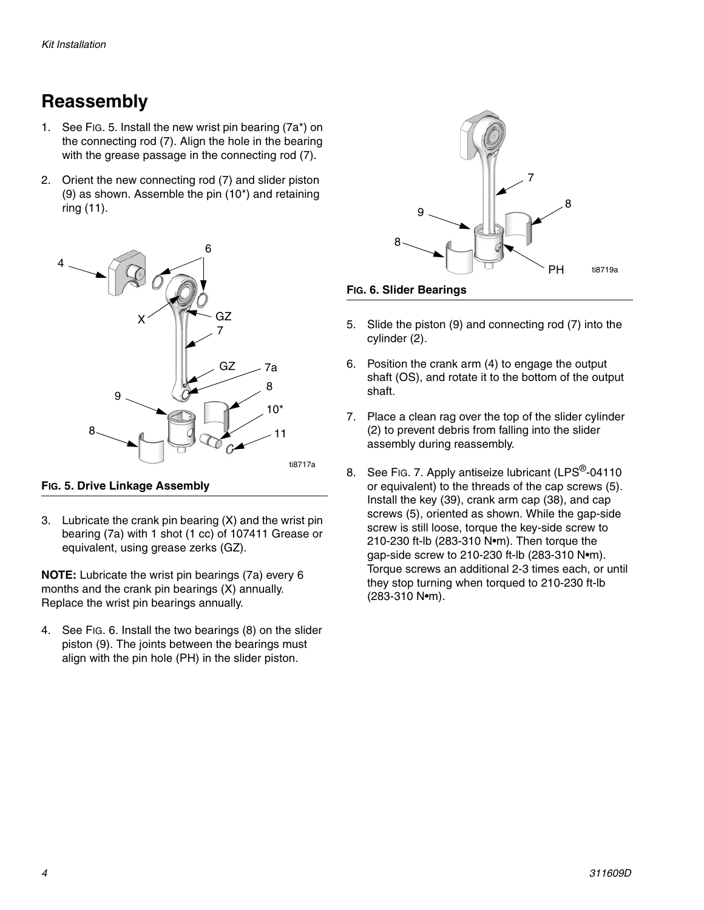## **Reassembly**

- 1. See FIG. 5. Install the new wrist pin bearing (7a\*) on the connecting rod (7). Align the hole in the bearing with the grease passage in the connecting rod (7).
- 2. Orient the new connecting rod (7) and slider piston (9) as shown. Assemble the pin (10\*) and retaining ring (11).



### **FIG. 5. Drive Linkage Assembly**

3. Lubricate the crank pin bearing (X) and the wrist pin bearing (7a) with 1 shot (1 cc) of 107411 Grease or equivalent, using grease zerks (GZ).

**NOTE:** Lubricate the wrist pin bearings (7a) every 6 months and the crank pin bearings (X) annually. Replace the wrist pin bearings annually.

4. See FIG. 6. Install the two bearings (8) on the slider piston (9). The joints between the bearings must align with the pin hole (PH) in the slider piston.





- 5. Slide the piston (9) and connecting rod (7) into the cylinder (2).
- 6. Position the crank arm (4) to engage the output shaft (OS), and rotate it to the bottom of the output shaft.
- 7. Place a clean rag over the top of the slider cylinder (2) to prevent debris from falling into the slider assembly during reassembly.
- 8. See Fig. 7. Apply antiseize lubricant (LPS<sup>®</sup>-04110) or equivalent) to the threads of the cap screws (5). Install the key (39), crank arm cap (38), and cap screws (5), oriented as shown. While the gap-side screw is still loose, torque the key-side screw to 210-230 ft-lb (283-310 N•m). Then torque the gap-side screw to 210-230 ft-lb (283-310 N•m). Torque screws an additional 2-3 times each, or until they stop turning when torqued to 210-230 ft-lb (283-310 N•m).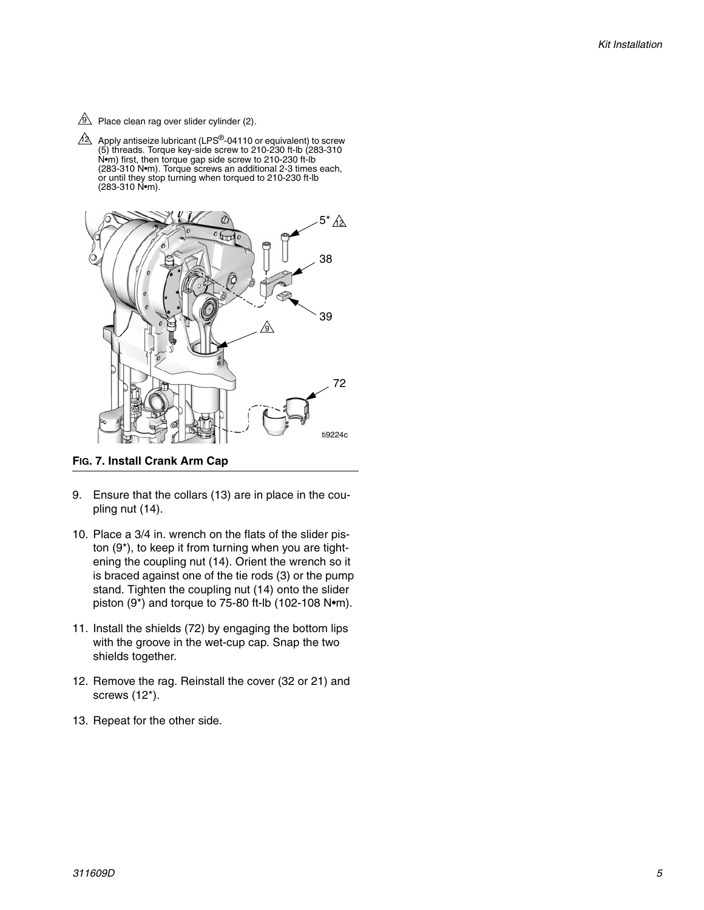- $9$  Place clean rag over slider cylinder (2).
- Apply antiseize lubricant (LPS<sup>®</sup>-04110 or equivalent) to screw (5) threads. Torque key-side screw to 210-230 ft-lb (283-310 N•m) first, then torque gap side screw to 210-230 ft-lb (283-310 N•m). Torque screws an additional 2-3 times each, or until they stop turning when torqued to 210-230 ft-lb (283-310 N•m). 12



<span id="page-4-0"></span>**FIG. 7. Install Crank Arm Cap**

- 9. Ensure that the collars (13) are in place in the coupling nut (14).
- 10. Place a 3/4 in. wrench on the flats of the slider piston (9\*), to keep it from turning when you are tightening the coupling nut (14). Orient the wrench so it is braced against one of the tie rods (3) or the pump stand. Tighten the coupling nut (14) onto the slider piston (9\*) and torque to 75-80 ft-lb (102-108 N•m).
- 11. Install the shields (72) by engaging the bottom lips with the groove in the wet-cup cap. Snap the two shields together.
- 12. Remove the rag. Reinstall the cover (32 or 21) and screws (12\*).
- 13. Repeat for the other side.